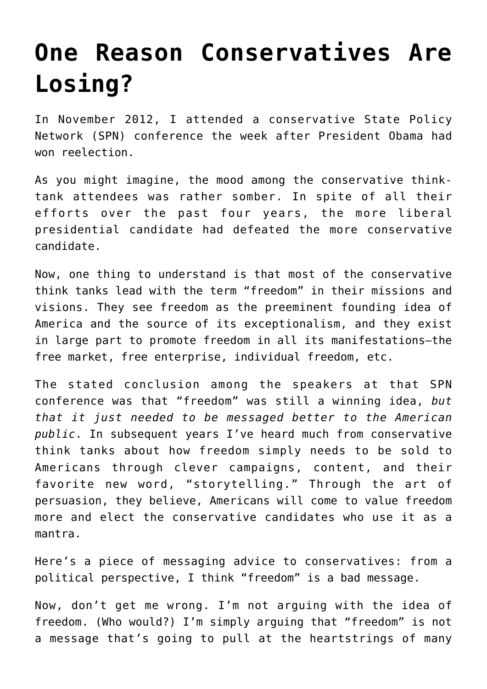## **[One Reason Conservatives Are](https://intellectualtakeout.org/2016/06/one-reason-conservatives-are-losing/) [Losing?](https://intellectualtakeout.org/2016/06/one-reason-conservatives-are-losing/)**

In November 2012, I attended a conservative State Policy Network (SPN) conference the week after President Obama had won reelection.

As you might imagine, the mood among the conservative thinktank attendees was rather somber. In spite of all their efforts over the past four years, the more liberal presidential candidate had defeated the more conservative candidate.

Now, one thing to understand is that most of the conservative think tanks lead with the term "freedom" in their missions and visions. They see freedom as the preeminent founding idea of America and the source of its exceptionalism, and they exist in large part to promote freedom in all its manifestations—the free market, free enterprise, individual freedom, etc.

The stated conclusion among the speakers at that SPN conference was that "freedom" was still a winning idea, *but that it just needed to be messaged better to the American public*. In subsequent years I've heard much from conservative think tanks about how freedom simply needs to be sold to Americans through clever campaigns, content, and their favorite new word, "storytelling." Through the art of persuasion, they believe, Americans will come to value freedom more and elect the conservative candidates who use it as a mantra.

Here's a piece of messaging advice to conservatives: from a political perspective, I think "freedom" is a bad message.

Now, don't get me wrong. I'm not arguing with the idea of freedom. (Who would?) I'm simply arguing that "freedom" is not a message that's going to pull at the heartstrings of many